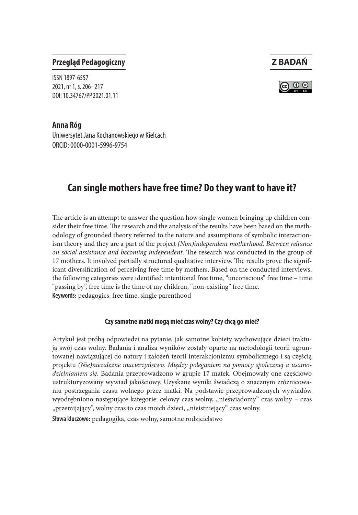# **Przegląd Pedagogiczny Z BADAŃ**



ISSN 1897-6557 2021, nr 1, s. 206–217 DOI: 10.34767/PP.2021.01.11

**Anna Róg** Uniwersytet Jana Kochanowskiego w Kielcach ORCID: 0000-0001-5996-9754

# **Can single mothers have free time? Do they want to have it?**

The article is an attempt to answer the question how single women bringing up children consider their free time. The research and the analysis of the results have been based on the methodology of grounded theory referred to the nature and assumptions of symbolic interactionism theory and they are a part of the project *(Non)independent motherhood. Between reliance on social assistance and becoming independent*. The research was conducted in the group of 17 mothers. It involved partially structured qualitative interview. The results prove the significant diversification of perceiving free time by mothers. Based on the conducted interviews, the following categories were identified: intentional free time, "unconscious" free time – time "passing by", free time is the time of my children, "non-existing" free time. **Keywords:** pedagogics, free time, single parenthood

#### **Czy samotne matki mogą mieć czas wolny? Czy chcą go mieć?**

Artykuł jest próbą odpowiedzi na pytanie, jak samotne kobiety wychowujące dzieci traktują swój czas wolny. Badania i analiza wyników zostały oparte na metodologii teorii ugruntowanej nawiązującej do natury i założeń teorii interakcjonizmu symbolicznego i są częścią projektu *(Nie)niezależne macierzyństwo. Między poleganiem na pomocy społecznej a usamodzielnianiem się*. Badania przeprowadzono w grupie 17 matek. Obejmowały one częściowo ustrukturyzowany wywiad jakościowy. Uzyskane wyniki świadczą o znacznym zróżnicowaniu postrzegania czasu wolnego przez matki. Na podstawie przeprowadzonych wywiadów wyodrębniono następujące kategorie: celowy czas wolny, "nieświadomy" czas wolny – czas "przemijający", wolny czas to czas moich dzieci, "nieistniejący" czas wolny.

**Słowa kluczowe:** pedagogika, czas wolny, samotne rodzicielstwo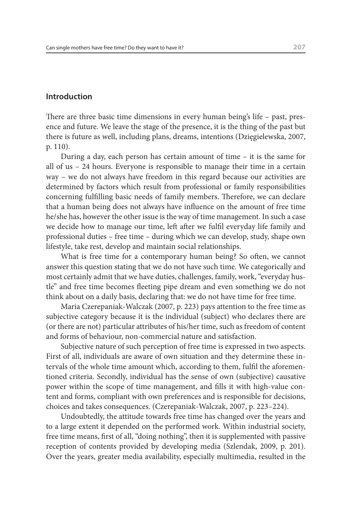# **Introduction**

There are three basic time dimensions in every human being's life – past, presence and future. We leave the stage of the presence, it is the thing of the past but there is future as well, including plans, dreams, intentions (Dzięgielewska, 2007, p. 110).

During a day, each person has certain amount of time – it is the same for all of us – 24 hours. Everyone is responsible to manage their time in a certain way – we do not always have freedom in this regard because our activities are determined by factors which result from professional or family responsibilities concerning fulfilling basic needs of family members. Therefore, we can declare that a human being does not always have influence on the amount of free time he/she has, however the other issue is the way of time management. In such a case we decide how to manage our time, left after we fulfil everyday life family and professional duties – free time – during which we can develop, study, shape own lifestyle, take rest, develop and maintain social relationships.

What is free time for a contemporary human being? So often, we cannot answer this question stating that we do not have such time. We categorically and most certainly admit that we have duties, challenges, family, work, "everyday hustle" and free time becomes fleeting pipe dream and even something we do not think about on a daily basis, declaring that: we do not have time for free time.

Maria Czerepaniak-Walczak (2007, p. 223) pays attention to the free time as subjective category because it is the individual (subject) who declares there are (or there are not) particular attributes of his/her time, such as freedom of content and forms of behaviour, non-commercial nature and satisfaction.

Subjective nature of such perception of free time is expressed in two aspects. First of all, individuals are aware of own situation and they determine these intervals of the whole time amount which, according to them, fulfil the aforementioned criteria. Secondly, individual has the sense of own (subjective) causative power within the scope of time management, and fills it with high-value content and forms, compliant with own preferences and is responsible for decisions, choices and takes consequences. (Czerepaniak-Walczak, 2007, p. 223–224).

Undoubtedly, the attitude towards free time has changed over the years and to a large extent it depended on the performed work. Within industrial society, free time means, first of all, "doing nothing", then it is supplemented with passive reception of contents provided by developing media (Szlendak, 2009, p. 201). Over the years, greater media availability, especially multimedia, resulted in the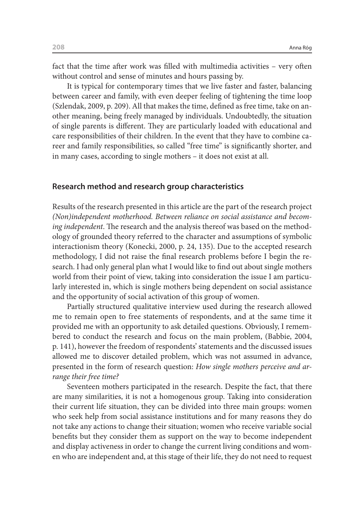fact that the time after work was filled with multimedia activities – very often without control and sense of minutes and hours passing by.

It is typical for contemporary times that we live faster and faster, balancing between career and family, with even deeper feeling of tightening the time loop (Szlendak, 2009, p. 209). All that makes the time, defined as free time, take on another meaning, being freely managed by individuals. Undoubtedly, the situation of single parents is different. They are particularly loaded with educational and care responsibilities of their children. In the event that they have to combine career and family responsibilities, so called "free time" is significantly shorter, and in many cases, according to single mothers – it does not exist at all.

### **Research method and research group characteristics**

Results of the research presented in this article are the part of the research project *(Non)independent motherhood. Between reliance on social assistance and becoming independent*. The research and the analysis thereof was based on the methodology of grounded theory referred to the character and assumptions of symbolic interactionism theory (Konecki, 2000, p. 24, 135). Due to the accepted research methodology, I did not raise the final research problems before I begin the research. I had only general plan what I would like to find out about single mothers world from their point of view, taking into consideration the issue I am particularly interested in, which is single mothers being dependent on social assistance and the opportunity of social activation of this group of women.

Partially structured qualitative interview used during the research allowed me to remain open to free statements of respondents, and at the same time it provided me with an opportunity to ask detailed questions. Obviously, I remembered to conduct the research and focus on the main problem, (Babbie, 2004, p. 141), however the freedom of respondents' statements and the discussed issues allowed me to discover detailed problem, which was not assumed in advance, presented in the form of research question: *How single mothers perceive and arrange their free time?*

Seventeen mothers participated in the research. Despite the fact, that there are many similarities, it is not a homogenous group. Taking into consideration their current life situation, they can be divided into three main groups: women who seek help from social assistance institutions and for many reasons they do not take any actions to change their situation; women who receive variable social benefits but they consider them as support on the way to become independent and display activeness in order to change the current living conditions and women who are independent and, at this stage of their life, they do not need to request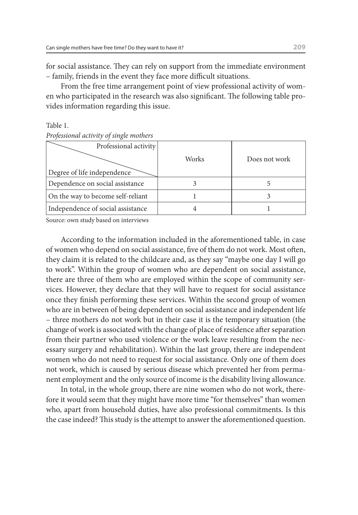for social assistance. They can rely on support from the immediate environment – family, friends in the event they face more difficult situations.

From the free time arrangement point of view professional activity of women who participated in the research was also significant. The following table provides information regarding this issue.

Table 1. *Professional activity of single mothers*

| Professional activity             |       |               |
|-----------------------------------|-------|---------------|
|                                   | Works | Does not work |
| Degree of life independence       |       |               |
| Dependence on social assistance   |       |               |
| On the way to become self-reliant |       |               |
| Independence of social assistance |       |               |

Source: own study based on interviews

According to the information included in the aforementioned table, in case of women who depend on social assistance, five of them do not work. Most often, they claim it is related to the childcare and, as they say "maybe one day I will go to work". Within the group of women who are dependent on social assistance, there are three of them who are employed within the scope of community services. However, they declare that they will have to request for social assistance once they finish performing these services. Within the second group of women who are in between of being dependent on social assistance and independent life – three mothers do not work but in their case it is the temporary situation (the change of work is associated with the change of place of residence after separation from their partner who used violence or the work leave resulting from the necessary surgery and rehabilitation). Within the last group, there are independent women who do not need to request for social assistance. Only one of them does not work, which is caused by serious disease which prevented her from permanent employment and the only source of income is the disability living allowance.

In total, in the whole group, there are nine women who do not work, therefore it would seem that they might have more time "for themselves" than women who, apart from household duties, have also professional commitments. Is this the case indeed? This study is the attempt to answer the aforementioned question.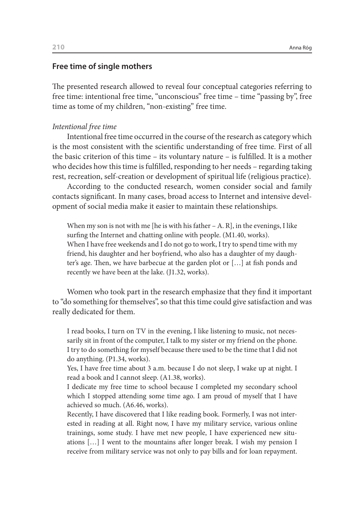# **Free time of single mothers**

The presented research allowed to reveal four conceptual categories referring to free time: intentional free time, "unconscious" free time – time "passing by", free time as tome of my children, "non-existing" free time.

# *Intentional free time*

Intentional free time occurred in the course of the research as category which is the most consistent with the scientific understanding of free time. First of all the basic criterion of this time – its voluntary nature – is fulfilled. It is a mother who decides how this time is fulfilled, responding to her needs – regarding taking rest, recreation, self-creation or development of spiritual life (religious practice).

According to the conducted research, women consider social and family contacts significant. In many cases, broad access to Internet and intensive development of social media make it easier to maintain these relationships.

When my son is not with me [he is with his father  $- A$ . R], in the evenings, I like surfing the Internet and chatting online with people. (M1.40, works). When I have free weekends and I do not go to work, I try to spend time with my friend, his daughter and her boyfriend, who also has a daughter of my daughter's age. Then, we have barbecue at the garden plot or […] at fish ponds and recently we have been at the lake. (J1.32, works).

Women who took part in the research emphasize that they find it important to "do something for themselves", so that this time could give satisfaction and was really dedicated for them.

I read books, I turn on TV in the evening, I like listening to music, not necessarily sit in front of the computer, I talk to my sister or my friend on the phone. I try to do something for myself because there used to be the time that I did not do anything. (P1.34, works).

Yes, I have free time about 3 a.m. because I do not sleep, I wake up at night. I read a book and I cannot sleep. (A1.38, works).

I dedicate my free time to school because I completed my secondary school which I stopped attending some time ago. I am proud of myself that I have achieved so much. (A6.46, works).

Recently, I have discovered that I like reading book. Formerly, I was not interested in reading at all. Right now, I have my military service, various online trainings, some study. I have met new people, I have experienced new situations […] I went to the mountains after longer break. I wish my pension I receive from military service was not only to pay bills and for loan repayment.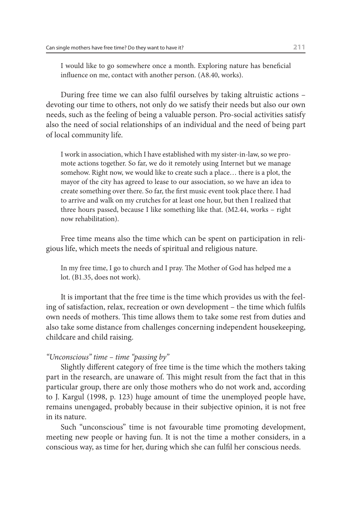I would like to go somewhere once a month. Exploring nature has beneficial influence on me, contact with another person. (A8.40, works).

During free time we can also fulfil ourselves by taking altruistic actions – devoting our time to others, not only do we satisfy their needs but also our own needs, such as the feeling of being a valuable person. Pro-social activities satisfy also the need of social relationships of an individual and the need of being part of local community life.

I work in association, which I have established with my sister-in-law, so we promote actions together. So far, we do it remotely using Internet but we manage somehow. Right now, we would like to create such a place… there is a plot, the mayor of the city has agreed to lease to our association, so we have an idea to create something over there. So far, the first music event took place there. I had to arrive and walk on my crutches for at least one hour, but then I realized that three hours passed, because I like something like that. (M2.44, works – right now rehabilitation).

Free time means also the time which can be spent on participation in religious life, which meets the needs of spiritual and religious nature.

In my free time, I go to church and I pray. The Mother of God has helped me a lot. (B1.35, does not work).

It is important that the free time is the time which provides us with the feeling of satisfaction, relax, recreation or own development – the time which fulfils own needs of mothers. This time allows them to take some rest from duties and also take some distance from challenges concerning independent housekeeping, childcare and child raising.

# *"Unconscious" time – time "passing by"*

Slightly different category of free time is the time which the mothers taking part in the research, are unaware of. This might result from the fact that in this particular group, there are only those mothers who do not work and, according to J. Kargul (1998, p. 123) huge amount of time the unemployed people have, remains unengaged, probably because in their subjective opinion, it is not free in its nature.

Such "unconscious" time is not favourable time promoting development, meeting new people or having fun. It is not the time a mother considers, in a conscious way, as time for her, during which she can fulfil her conscious needs.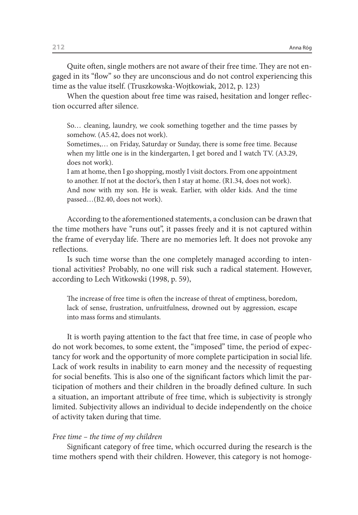Quite often, single mothers are not aware of their free time. They are not engaged in its "flow" so they are unconscious and do not control experiencing this time as the value itself. (Truszkowska-Wojtkowiak, 2012, p. 123)

When the question about free time was raised, hesitation and longer reflection occurred after silence.

So… cleaning, laundry, we cook something together and the time passes by somehow. (A5.42, does not work).

Sometimes,… on Friday, Saturday or Sunday, there is some free time. Because when my little one is in the kindergarten, I get bored and I watch TV. (A3.29, does not work).

I am at home, then I go shopping, mostly I visit doctors. From one appointment to another. If not at the doctor's, then I stay at home. (R1.34, does not work). And now with my son. He is weak. Earlier, with older kids. And the time passed…(B2.40, does not work).

According to the aforementioned statements, a conclusion can be drawn that the time mothers have "runs out", it passes freely and it is not captured within the frame of everyday life. There are no memories left. It does not provoke any reflections.

Is such time worse than the one completely managed according to intentional activities? Probably, no one will risk such a radical statement. However, according to Lech Witkowski (1998, p. 59),

The increase of free time is often the increase of threat of emptiness, boredom, lack of sense, frustration, unfruitfulness, drowned out by aggression, escape into mass forms and stimulants.

It is worth paying attention to the fact that free time, in case of people who do not work becomes, to some extent, the "imposed" time, the period of expectancy for work and the opportunity of more complete participation in social life. Lack of work results in inability to earn money and the necessity of requesting for social benefits. This is also one of the significant factors which limit the participation of mothers and their children in the broadly defined culture. In such a situation, an important attribute of free time, which is subjectivity is strongly limited. Subjectivity allows an individual to decide independently on the choice of activity taken during that time.

#### *Free time – the time of my children*

Significant category of free time, which occurred during the research is the time mothers spend with their children. However, this category is not homoge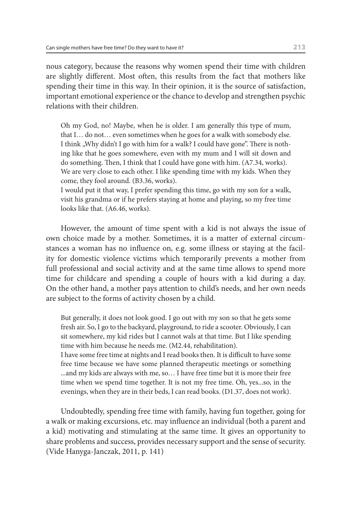nous category, because the reasons why women spend their time with children are slightly different. Most often, this results from the fact that mothers like spending their time in this way. In their opinion, it is the source of satisfaction, important emotional experience or the chance to develop and strengthen psychic relations with their children.

Oh my God, no! Maybe, when he is older. I am generally this type of mum, that I… do not… even sometimes when he goes for a walk with somebody else. I think "Why didn't I go with him for a walk? I could have gone". There is nothing like that he goes somewhere, even with my mum and I will sit down and do something. Then, I think that I could have gone with him. (A7.34, works). We are very close to each other. I like spending time with my kids. When they come, they fool around. (B3.36, works).

I would put it that way, I prefer spending this time, go with my son for a walk, visit his grandma or if he prefers staying at home and playing, so my free time looks like that. (A6.46, works).

However, the amount of time spent with a kid is not always the issue of own choice made by a mother. Sometimes, it is a matter of external circumstances a woman has no influence on, e.g. some illness or staying at the facility for domestic violence victims which temporarily prevents a mother from full professional and social activity and at the same time allows to spend more time for childcare and spending a couple of hours with a kid during a day. On the other hand, a mother pays attention to child's needs, and her own needs are subject to the forms of activity chosen by a child.

But generally, it does not look good. I go out with my son so that he gets some fresh air. So, I go to the backyard, playground, to ride a scooter. Obviously, I can sit somewhere, my kid rides but I cannot wals at that time. But I like spending time with him because he needs me. (M2.44, rehabilitation). I have some free time at nights and I read books then. It is difficult to have some free time because we have some planned therapeutic meetings or something ...and my kids are always with me, so… I have free time but it is more their free time when we spend time together. It is not my free time. Oh, yes...so, in the evenings, when they are in their beds, I can read books. (D1.37, does not work).

Undoubtedly, spending free time with family, having fun together, going for a walk or making excursions, etc. may influence an individual (both a parent and a kid) motivating and stimulating at the same time. It gives an opportunity to share problems and success, provides necessary support and the sense of security. (Vide Hanyga-Janczak, 2011, p. 141)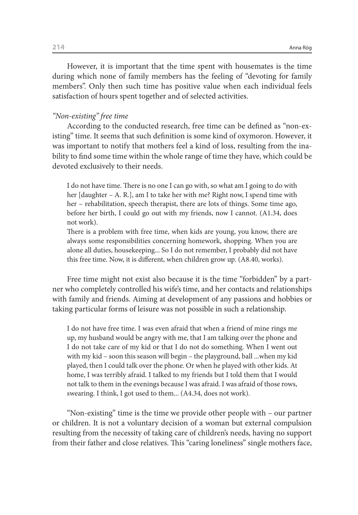However, it is important that the time spent with housemates is the time during which none of family members has the feeling of "devoting for family members". Only then such time has positive value when each individual feels satisfaction of hours spent together and of selected activities.

# *"Non-existing" free time*

According to the conducted research, free time can be defined as "non-existing" time. It seems that such definition is some kind of oxymoron. However, it was important to notify that mothers feel a kind of loss, resulting from the inability to find some time within the whole range of time they have, which could be devoted exclusively to their needs.

I do not have time. There is no one I can go with, so what am I going to do with her [daughter – A. R.], am I to take her with me? Right now, I spend time with her – rehabilitation, speech therapist, there are lots of things. Some time ago, before her birth, I could go out with my friends, now I cannot. (A1.34, does not work).

There is a problem with free time, when kids are young, you know, there are always some responsibilities concerning homework, shopping. When you are alone all duties, housekeeping... So I do not remember, I probably did not have this free time. Now, it is different, when children grow up. (A8.40, works).

Free time might not exist also because it is the time "forbidden" by a partner who completely controlled his wife's time, and her contacts and relationships with family and friends. Aiming at development of any passions and hobbies or taking particular forms of leisure was not possible in such a relationship.

I do not have free time. I was even afraid that when a friend of mine rings me up, my husband would be angry with me, that I am talking over the phone and I do not take care of my kid or that I do not do something. When I went out with my kid – soon this season will begin – the playground, ball ...when my kid played, then I could talk over the phone. Or when he played with other kids. At home, I was terribly afraid. I talked to my friends but I told them that I would not talk to them in the evenings because I was afraid. I was afraid of those rows, swearing. I think, I got used to them... (A4.34, does not work).

"Non-existing" time is the time we provide other people with – our partner or children. It is not a voluntary decision of a woman but external compulsion resulting from the necessity of taking care of children's needs, having no support from their father and close relatives. This "caring loneliness" single mothers face,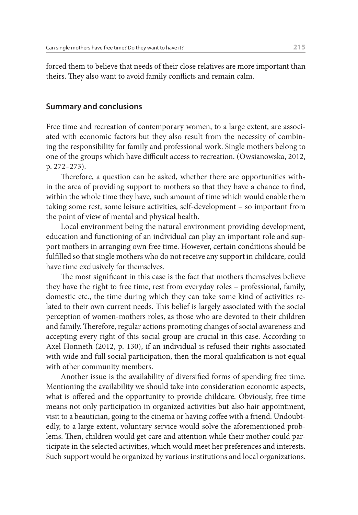forced them to believe that needs of their close relatives are more important than theirs. They also want to avoid family conflicts and remain calm.

# **Summary and conclusions**

Free time and recreation of contemporary women, to a large extent, are associated with economic factors but they also result from the necessity of combining the responsibility for family and professional work. Single mothers belong to one of the groups which have difficult access to recreation. (Owsianowska, 2012, p. 272–273).

Therefore, a question can be asked, whether there are opportunities within the area of providing support to mothers so that they have a chance to find, within the whole time they have, such amount of time which would enable them taking some rest, some leisure activities, self-development – so important from the point of view of mental and physical health.

Local environment being the natural environment providing development, education and functioning of an individual can play an important role and support mothers in arranging own free time. However, certain conditions should be fulfilled so that single mothers who do not receive any support in childcare, could have time exclusively for themselves.

The most significant in this case is the fact that mothers themselves believe they have the right to free time, rest from everyday roles – professional, family, domestic etc., the time during which they can take some kind of activities related to their own current needs. This belief is largely associated with the social perception of women-mothers roles, as those who are devoted to their children and family. Therefore, regular actions promoting changes of social awareness and accepting every right of this social group are crucial in this case. According to Axel Honneth (2012, p. 130), if an individual is refused their rights associated with wide and full social participation, then the moral qualification is not equal with other community members.

Another issue is the availability of diversified forms of spending free time. Mentioning the availability we should take into consideration economic aspects, what is offered and the opportunity to provide childcare. Obviously, free time means not only participation in organized activities but also hair appointment, visit to a beautician, going to the cinema or having coffee with a friend. Undoubtedly, to a large extent, voluntary service would solve the aforementioned problems. Then, children would get care and attention while their mother could participate in the selected activities, which would meet her preferences and interests. Such support would be organized by various institutions and local organizations.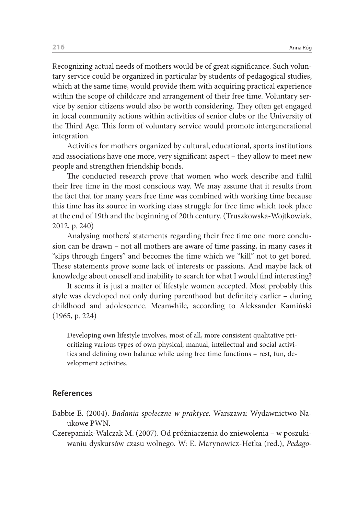Recognizing actual needs of mothers would be of great significance. Such voluntary service could be organized in particular by students of pedagogical studies, which at the same time, would provide them with acquiring practical experience within the scope of childcare and arrangement of their free time. Voluntary service by senior citizens would also be worth considering. They often get engaged in local community actions within activities of senior clubs or the University of the Third Age. This form of voluntary service would promote intergenerational integration.

Activities for mothers organized by cultural, educational, sports institutions and associations have one more, very significant aspect – they allow to meet new people and strengthen friendship bonds.

The conducted research prove that women who work describe and fulfil their free time in the most conscious way. We may assume that it results from the fact that for many years free time was combined with working time because this time has its source in working class struggle for free time which took place at the end of 19th and the beginning of 20th century. (Truszkowska-Wojtkowiak, 2012, p. 240)

Analysing mothers' statements regarding their free time one more conclusion can be drawn – not all mothers are aware of time passing, in many cases it "slips through fingers" and becomes the time which we "kill" not to get bored. These statements prove some lack of interests or passions. And maybe lack of knowledge about oneself and inability to search for what I would find interesting?

It seems it is just a matter of lifestyle women accepted. Most probably this style was developed not only during parenthood but definitely earlier – during childhood and adolescence. Meanwhile, according to Aleksander Kamiński (1965, p. 224)

Developing own lifestyle involves, most of all, more consistent qualitative prioritizing various types of own physical, manual, intellectual and social activities and defining own balance while using free time functions – rest, fun, development activities.

### **References**

- Babbie E. (2004). *Badania społeczne w praktyce.* Warszawa: Wydawnictwo Naukowe PWN.
- Czerepaniak-Walczak M. (2007). Od próżniaczenia do zniewolenia w poszukiwaniu dyskursów czasu wolnego. W: E. Marynowicz-Hetka (red.), *Pedago-*